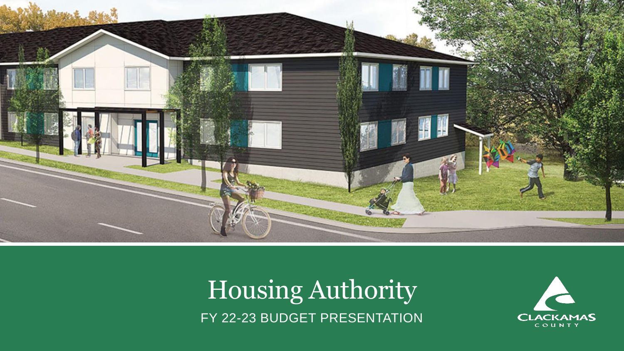

Housing Authority FY 22-23 BUDGET PRESENTATION

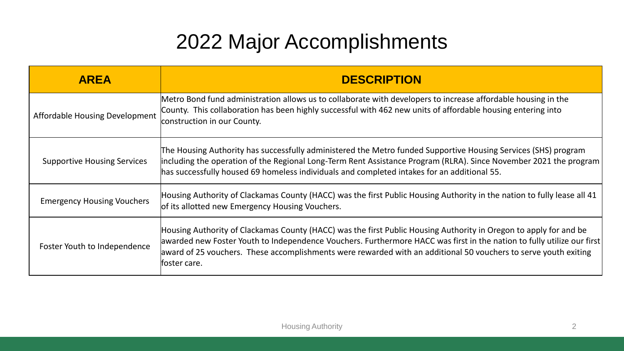### 2022 Major Accomplishments

| <b>AREA</b>                        | <b>DESCRIPTION</b>                                                                                                                                                                                                                                                                                                                                                             |
|------------------------------------|--------------------------------------------------------------------------------------------------------------------------------------------------------------------------------------------------------------------------------------------------------------------------------------------------------------------------------------------------------------------------------|
| Affordable Housing Development     | Metro Bond fund administration allows us to collaborate with developers to increase affordable housing in the<br>County. This collaboration has been highly successful with 462 new units of affordable housing entering into<br>construction in our County.                                                                                                                   |
| <b>Supportive Housing Services</b> | The Housing Authority has successfully administered the Metro funded Supportive Housing Services (SHS) program<br>including the operation of the Regional Long-Term Rent Assistance Program (RLRA). Since November 2021 the program<br>has successfully housed 69 homeless individuals and completed intakes for an additional 55.                                             |
| <b>Emergency Housing Vouchers</b>  | Housing Authority of Clackamas County (HACC) was the first Public Housing Authority in the nation to fully lease all 41<br>of its allotted new Emergency Housing Vouchers.                                                                                                                                                                                                     |
| Foster Youth to Independence       | Housing Authority of Clackamas County (HACC) was the first Public Housing Authority in Oregon to apply for and be<br>awarded new Foster Youth to Independence Vouchers. Furthermore HACC was first in the nation to fully utilize our first<br>award of 25 vouchers. These accomplishments were rewarded with an additional 50 vouchers to serve youth exiting<br>foster care. |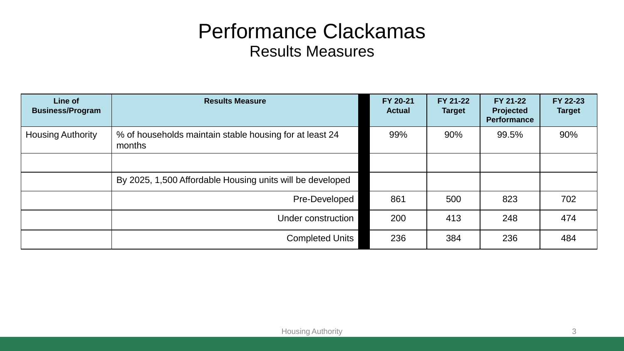#### Performance Clackamas Results Measures

| Line of<br><b>Business/Program</b> | <b>Results Measure</b>                                            | FY 20-21<br><b>Actual</b> | FY 21-22<br><b>Target</b> | <b>FY 21-22</b><br><b>Projected</b><br><b>Performance</b> | FY 22-23<br><b>Target</b> |
|------------------------------------|-------------------------------------------------------------------|---------------------------|---------------------------|-----------------------------------------------------------|---------------------------|
| <b>Housing Authority</b>           | % of households maintain stable housing for at least 24<br>months | 99%                       | 90%                       | 99.5%                                                     | 90%                       |
|                                    |                                                                   |                           |                           |                                                           |                           |
|                                    | By 2025, 1,500 Affordable Housing units will be developed         |                           |                           |                                                           |                           |
|                                    | Pre-Developed                                                     | 861                       | 500                       | 823                                                       | 702                       |
|                                    | Under construction                                                | 200                       | 413                       | 248                                                       | 474                       |
|                                    | <b>Completed Units</b>                                            | 236                       | 384                       | 236                                                       | 484                       |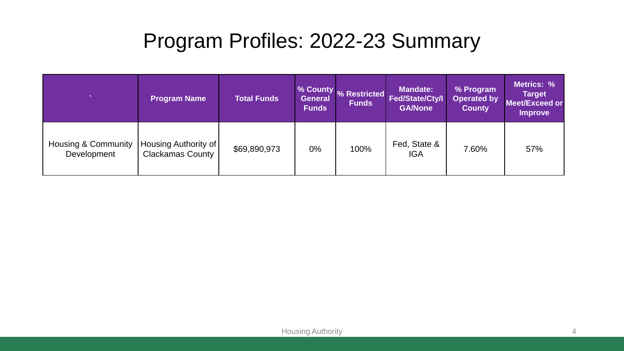### Program Profiles: 2022-23 Summary

| $\overline{\phantom{a}}$                      | <b>Program Name</b>                             | <b>Total Funds</b> | <b>General</b><br><b>Funds</b> | % County % Restricted<br><b>Funds</b> | <b>Mandate:</b><br>Fed/State/Cty/I<br><b>GA/None</b> | % Program<br><b>Operated by</b><br><b>County</b> | Metrics: %<br><b>Target</b><br><b>Meet/Exceed or</b><br><b>Improve</b> |
|-----------------------------------------------|-------------------------------------------------|--------------------|--------------------------------|---------------------------------------|------------------------------------------------------|--------------------------------------------------|------------------------------------------------------------------------|
| <b>Housing &amp; Community</b><br>Development | Housing Authority of<br><b>Clackamas County</b> | \$69,890,973       | $0\%$                          | 100%                                  | Fed, State &<br><b>IGA</b>                           | 7.60%                                            | 57%                                                                    |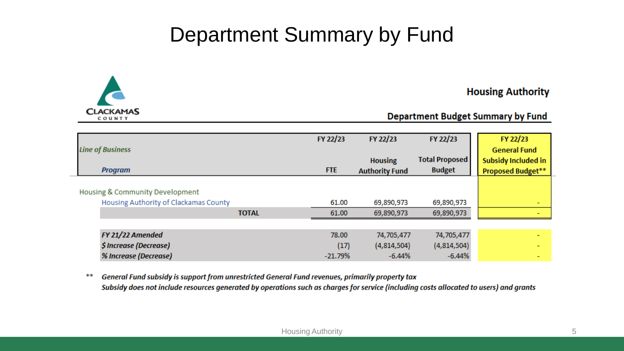#### Department Summary by Fund



#### **Housing Authority**

#### **Department Budget Summary by Fund**

| <b>Line of Business</b>                                                  |              | FY 22/23   | FY 22/23<br>FY 22/23  |                       | FY 22/23<br><b>General Fund</b> |
|--------------------------------------------------------------------------|--------------|------------|-----------------------|-----------------------|---------------------------------|
|                                                                          |              |            | <b>Housing</b>        | <b>Total Proposed</b> | <b>Subsidy Included in</b>      |
| <b>Program</b>                                                           |              | <b>FTE</b> | <b>Authority Fund</b> | <b>Budget</b>         | Proposed Budget**               |
| Housing & Community Development<br>Housing Authority of Clackamas County |              | 61.00      | 69,890,973            | 69,890,973            |                                 |
|                                                                          | <b>TOTAL</b> | 61.00      | 69,890,973            | 69,890,973            |                                 |
|                                                                          |              |            |                       |                       |                                 |
| FY 21/22 Amended                                                         |              | 78.00      | 74,705,477            | 74,705,477            |                                 |
| \$ Increase (Decrease)                                                   |              | (17)       | (4,814,504)           | (4,814,504)           |                                 |
| % Increase (Decrease)                                                    |              | $-21.79%$  | $-6.44%$              | $-6.44%$              |                                 |

General Fund subsidy is support from unrestricted General Fund revenues, primarily property tax \*\* Subsidy does not include resources generated by operations such as charges for service (including costs allocated to users) and grants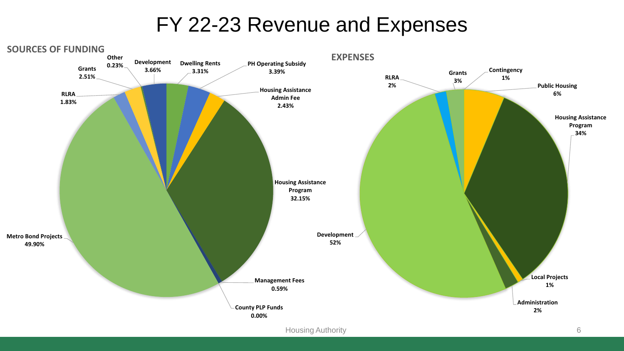#### FY 22-23 Revenue and Expenses

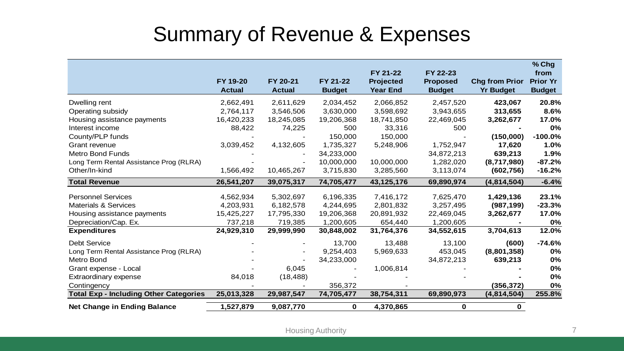#### Summary of Revenue & Expenses

|                                               | FY 19-20<br><b>Actual</b> | FY 20-21<br><b>Actual</b> | FY 21-22<br><b>Budget</b> | FY 21-22<br><b>Projected</b><br><b>Year End</b> | FY 22-23<br><b>Proposed</b><br><b>Budget</b> | <b>Chg from Prior</b><br><b>Yr Budget</b> | % Chg<br>from<br><b>Prior Yr</b><br><b>Budget</b> |
|-----------------------------------------------|---------------------------|---------------------------|---------------------------|-------------------------------------------------|----------------------------------------------|-------------------------------------------|---------------------------------------------------|
|                                               |                           |                           |                           |                                                 |                                              |                                           |                                                   |
| Dwelling rent                                 | 2,662,491                 | 2,611,629                 | 2,034,452                 | 2,066,852                                       | 2,457,520                                    | 423,067                                   | 20.8%                                             |
| Operating subsidy                             | 2,764,117                 | 3,546,506                 | 3,630,000                 | 3,598,692                                       | 3,943,655                                    | 313,655                                   | 8.6%                                              |
| Housing assistance payments                   | 16,420,233                | 18,245,085                | 19,206,368                | 18,741,850                                      | 22,469,045                                   | 3,262,677                                 | 17.0%                                             |
| Interest income                               | 88,422                    | 74,225                    | 500                       | 33,316                                          | 500                                          |                                           | 0%                                                |
| County/PLP funds                              |                           |                           | 150,000                   | 150,000                                         |                                              | (150,000)                                 | $-100.0%$                                         |
| Grant revenue                                 | 3,039,452                 | 4,132,605                 | 1,735,327                 | 5,248,906                                       | 1,752,947                                    | 17,620                                    | 1.0%                                              |
| <b>Metro Bond Funds</b>                       |                           |                           | 34,233,000                |                                                 | 34,872,213                                   | 639,213                                   | 1.9%                                              |
| Long Term Rental Assistance Prog (RLRA)       |                           |                           | 10,000,000                | 10,000,000                                      | 1,282,020                                    | (8,717,980)                               | $-87.2%$                                          |
| Other/In-kind                                 | 1,566,492                 | 10,465,267                | 3,715,830                 | 3,285,560                                       | 3,113,074                                    | (602, 756)                                | $-16.2%$                                          |
| <b>Total Revenue</b>                          | 26,541,207                | 39,075,317                | 74,705,477                | 43,125,176                                      | 69,890,974                                   | (4,814,504)                               | $-6.4%$                                           |
| <b>Personnel Services</b>                     | 4,562,934                 | 5,302,697                 | 6,196,335                 | 7,416,172                                       | 7,625,470                                    | 1,429,136                                 | 23.1%                                             |
| <b>Materials &amp; Services</b>               | 4,203,931                 | 6,182,578                 | 4,244,695                 | 2,801,832                                       | 3,257,495                                    | (987, 199)                                | $-23.3%$                                          |
| Housing assistance payments                   | 15,425,227                | 17,795,330                | 19,206,368                | 20,891,932                                      | 22,469,045                                   | 3,262,677                                 | 17.0%                                             |
| Depreciation/Cap. Ex.                         | 737,218                   | 719,385                   | 1,200,605                 | 654,440                                         | 1,200,605                                    |                                           | 0%                                                |
| <b>Expenditures</b>                           | 24,929,310                | 29,999,990                | 30,848,002                | 31,764,376                                      | 34,552,615                                   | 3,704,613                                 | 12.0%                                             |
| <b>Debt Service</b>                           |                           |                           | 13,700                    | 13,488                                          | 13,100                                       | (600)                                     | $-74.6%$                                          |
| Long Term Rental Assistance Prog (RLRA)       |                           |                           | 9,254,403                 | 5,969,633                                       | 453,045                                      | (8,801,358)                               | 0%                                                |
| Metro Bond                                    |                           |                           | 34,233,000                |                                                 | 34,872,213                                   | 639,213                                   | 0%                                                |
| Grant expense - Local                         |                           | 6,045                     |                           | 1,006,814                                       |                                              |                                           | 0%                                                |
| Extraordinary expense                         | 84,018                    | (18, 488)                 |                           |                                                 |                                              |                                           | 0%                                                |
| Contingency                                   |                           |                           | 356,372                   |                                                 |                                              | (356, 372)                                | 0%                                                |
| <b>Total Exp - Including Other Categories</b> | 25,013,328                | 29,987,547                | 74,705,477                | 38,754,311                                      | 69,890,973                                   | (4,814,504)                               | 255.8%                                            |
| <b>Net Change in Ending Balance</b>           | 1,527,879                 | 9,087,770                 | 0                         | 4,370,865                                       | $\mathbf 0$                                  | 0                                         |                                                   |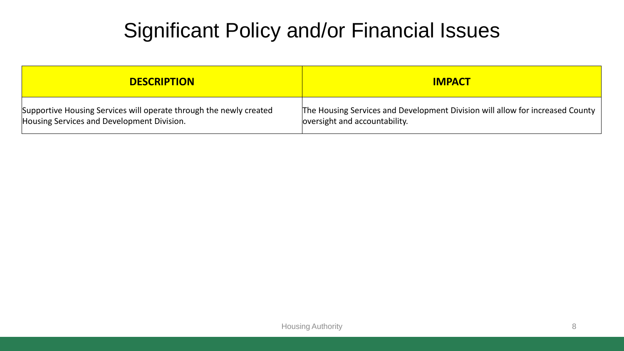### Significant Policy and/or Financial Issues

| <b>DESCRIPTION</b>                                                 | <b>IMPACT</b>                                                                 |
|--------------------------------------------------------------------|-------------------------------------------------------------------------------|
| Supportive Housing Services will operate through the newly created | The Housing Services and Development Division will allow for increased County |
| Housing Services and Development Division.                         | oversight and accountability.                                                 |